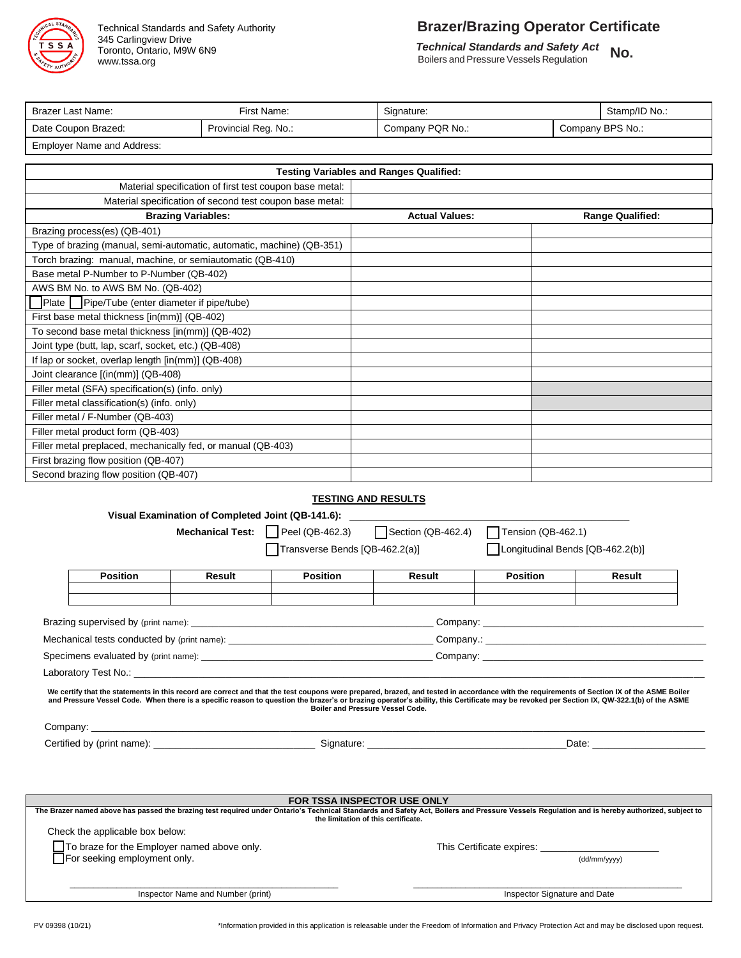

345 Carlingview Drive Toronto, Ontario, M9W 6N9 www.tssa.org

# Technical Standards and Safety Authority **Brazer/Brazing Operator Certificate**

 *Technical Standards and Safety Act*

**Boilers and Standards and Safety Act No.** Boilers and Pressure Vessels Regulation

| First Name:<br>Brazer Last Name: |                      | Signature:       |  | Stamp/ID No.:    |  |
|----------------------------------|----------------------|------------------|--|------------------|--|
| Date Coupon Brazed:              | Provincial Reg. No.: | Company PQR No.: |  | Company BPS No.: |  |
| Employer Name and Address:       |                      |                  |  |                  |  |

| <b>Testing Variables and Ranges Qualified:</b>                        |                       |                         |  |  |
|-----------------------------------------------------------------------|-----------------------|-------------------------|--|--|
| Material specification of first test coupon base metal:               |                       |                         |  |  |
| Material specification of second test coupon base metal:              |                       |                         |  |  |
| <b>Brazing Variables:</b>                                             | <b>Actual Values:</b> | <b>Range Qualified:</b> |  |  |
| Brazing process(es) (QB-401)                                          |                       |                         |  |  |
| Type of brazing (manual, semi-automatic, automatic, machine) (QB-351) |                       |                         |  |  |
| Torch brazing: manual, machine, or semiautomatic (QB-410)             |                       |                         |  |  |
| Base metal P-Number to P-Number (QB-402)                              |                       |                         |  |  |
| AWS BM No. to AWS BM No. (QB-402)                                     |                       |                         |  |  |
| Plate Pipe/Tube (enter diameter if pipe/tube)                         |                       |                         |  |  |
| First base metal thickness [in(mm)] (QB-402)                          |                       |                         |  |  |
| To second base metal thickness [in(mm)] (QB-402)                      |                       |                         |  |  |
| Joint type (butt, lap, scarf, socket, etc.) (QB-408)                  |                       |                         |  |  |
| If lap or socket, overlap length [in(mm)] (QB-408)                    |                       |                         |  |  |
| Joint clearance [(in(mm)] (QB-408)                                    |                       |                         |  |  |
| Filler metal (SFA) specification(s) (info. only)                      |                       |                         |  |  |
| Filler metal classification(s) (info. only)                           |                       |                         |  |  |
| Filler metal / F-Number (QB-403)                                      |                       |                         |  |  |
| Filler metal product form (QB-403)                                    |                       |                         |  |  |
| Filler metal preplaced, mechanically fed, or manual (QB-403)          |                       |                         |  |  |
| First brazing flow position (QB-407)                                  |                       |                         |  |  |
| Second brazing flow position (QB-407)                                 |                       |                         |  |  |

#### **TESTING AND RESULTS**

|                                                                                                                                                                                                                                    |                                 |                                                    | Visual Examination of Completed Joint (QB-141.6): |        |                                  |                                                                                                                                                                                           |
|------------------------------------------------------------------------------------------------------------------------------------------------------------------------------------------------------------------------------------|---------------------------------|----------------------------------------------------|---------------------------------------------------|--------|----------------------------------|-------------------------------------------------------------------------------------------------------------------------------------------------------------------------------------------|
|                                                                                                                                                                                                                                    |                                 | <b>Mechanical Test:</b>                            | Peel (QB-462.3) $\bigcap$ Section (QB-462.4)      |        | Tension (QB-462.1)               |                                                                                                                                                                                           |
|                                                                                                                                                                                                                                    |                                 |                                                    | Transverse Bends [QB-462.2(a)]                    |        | Longitudinal Bends [QB-462.2(b)] |                                                                                                                                                                                           |
|                                                                                                                                                                                                                                    | <b>Position</b>                 | Result                                             | <b>Position</b>                                   | Result | <b>Position</b>                  | Result                                                                                                                                                                                    |
|                                                                                                                                                                                                                                    |                                 |                                                    |                                                   |        |                                  |                                                                                                                                                                                           |
|                                                                                                                                                                                                                                    |                                 |                                                    |                                                   |        |                                  |                                                                                                                                                                                           |
|                                                                                                                                                                                                                                    |                                 |                                                    |                                                   |        |                                  |                                                                                                                                                                                           |
|                                                                                                                                                                                                                                    |                                 |                                                    |                                                   |        |                                  |                                                                                                                                                                                           |
|                                                                                                                                                                                                                                    |                                 |                                                    | Boiler and Pressure Vessel Code.                  |        |                                  | and Pressure Vessel Code. When there is a specific reason to question the brazer's or brazing operator's ability, this Certificate may be revoked per Section IX, QW-322.1(b) of the ASME |
| Date: the contract of the contract of the contract of the contract of the contract of the contract of the contract of the contract of the contract of the contract of the contract of the contract of the contract of the cont     |                                 |                                                    |                                                   |        |                                  |                                                                                                                                                                                           |
|                                                                                                                                                                                                                                    |                                 |                                                    |                                                   |        |                                  |                                                                                                                                                                                           |
| <b>FOR TSSA INSPECTOR USE ONLY</b><br>The Brazer named above has passed the brazing test required under Ontario's Technical Standards and Safety Act, Boilers and Pressure Vessels Regulation and is hereby authorized, subject to |                                 |                                                    |                                                   |        |                                  |                                                                                                                                                                                           |
|                                                                                                                                                                                                                                    |                                 |                                                    | the limitation of this certificate.               |        |                                  |                                                                                                                                                                                           |
|                                                                                                                                                                                                                                    | Check the applicable box below: |                                                    |                                                   |        |                                  |                                                                                                                                                                                           |
|                                                                                                                                                                                                                                    | For seeking employment only.    | $\Box$ To braze for the Employer named above only. |                                                   |        | This Certificate expires:        | (dd/mm/yyyy)                                                                                                                                                                              |
|                                                                                                                                                                                                                                    |                                 |                                                    |                                                   |        |                                  |                                                                                                                                                                                           |

Inspector Name and Number (print) **Inspector Signature and Date** 

PV 09398 (10/21) **\*Information provided in this application is releasable under the Freedom of Information and Privacy Protection Act and may be disclosed upon request.**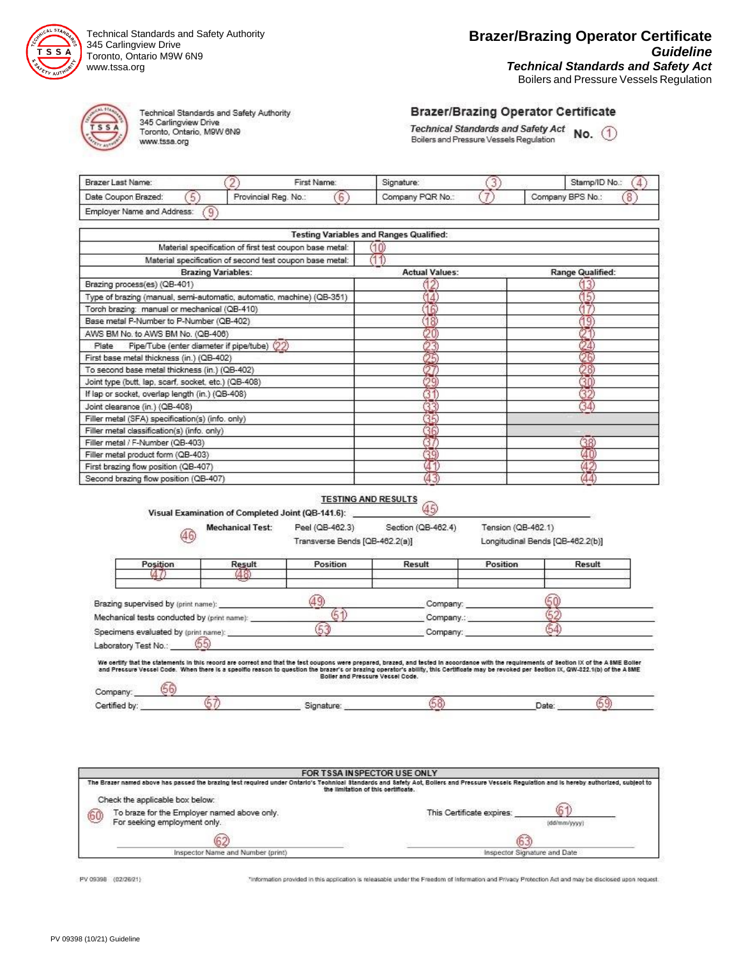

Technical Standards and Safety Authority 345 Carlingview Drive Toronto, Ontario M9W 6N9 www.tssa.org



Technical Standards and Safety Authority 345 Carlingview Drive<br>Toronto, Ontario, M9W 6N9 www.tssa.org

#### **Brazer/Brazing Operator Certificate**

Technical Standards and Safety Act  $\;$  No.  $\;$  (1) Boilers and Pressure Vessels Regulation

| Brazer Last Name:          | First Name:          | Signature:       | Stamp/ID No.:    |  |
|----------------------------|----------------------|------------------|------------------|--|
| Date Coupon Brazed:        | Provincial Reg. No.: | Company PQR No.: | Company BPS No.: |  |
| Employer Name and Address: |                      |                  |                  |  |

|                                                                       | Testing Variables and Ranges Qualified: |                  |
|-----------------------------------------------------------------------|-----------------------------------------|------------------|
| Material specification of first test coupon base metal:               |                                         |                  |
| Material specification of second test coupon base metal:              |                                         |                  |
| <b>Brazing Variables:</b>                                             | <b>Actual Values:</b>                   | Range Qualified: |
| Brazing process(es) (QB-401)                                          |                                         |                  |
| Type of brazing (manual, semi-automatic, automatic, machine) (QB-351) |                                         |                  |
| Torch brazing: manual or mechanical (QB-410)                          | ß                                       |                  |
| Base metal P-Number to P-Number (QB-402)                              | 18                                      |                  |
| AWS BM No. to AWS BM No. (QB-406)                                     |                                         |                  |
| Pipe/Tube (enter diameter if pipe/tube) $(22)$<br>Plate               |                                         |                  |
| First base metal thickness (in.) (QB-402)                             |                                         |                  |
| To second base metal thickness (in.) (QB-402)                         |                                         |                  |
| Joint type (butt, lap, scarf, socket, etc.) (QB-408).                 |                                         |                  |
| If lap or socket, overlap length (in.) (QB-408)                       |                                         |                  |
| Joint clearance (in.) (QB-408)                                        |                                         | 34               |
| Filler metal (SFA) specification(s) (info. only)                      |                                         |                  |
| Filler metal classification(s) (info. only)                           |                                         |                  |
| Filler metal / F-Number (QB-403)                                      |                                         | 38.              |
| Filler metal product form (QB-403)                                    |                                         |                  |
| First brazing flow position (QB-407)                                  |                                         |                  |
| Second brazing flow position (OB-407)                                 |                                         |                  |

### TESTING AND RESULTS

|                                             | Visual Examination of Completed Joint (QB-141.6): |                                         | 45)                                                                                                                                                                                                                                                                                                                                                                                      |                                  |        |
|---------------------------------------------|---------------------------------------------------|-----------------------------------------|------------------------------------------------------------------------------------------------------------------------------------------------------------------------------------------------------------------------------------------------------------------------------------------------------------------------------------------------------------------------------------------|----------------------------------|--------|
|                                             | <b>Mechanical Test:</b>                           | Peel (QB-462.3)                         | Section (QB-462.4)                                                                                                                                                                                                                                                                                                                                                                       | Tension (QB-462.1)               |        |
| 46                                          |                                                   | Transverse Bends [QB-462.2(a)]          |                                                                                                                                                                                                                                                                                                                                                                                          | Longitudinal Bends [QB-462.2(b)] |        |
| Position                                    | Result                                            | Position                                | Result                                                                                                                                                                                                                                                                                                                                                                                   | Position                         | Result |
|                                             | 48.                                               |                                         |                                                                                                                                                                                                                                                                                                                                                                                          |                                  |        |
| Brazing supervised by (print name):         |                                                   |                                         | Company:                                                                                                                                                                                                                                                                                                                                                                                 |                                  |        |
| Mechanical tests conducted by (print name): |                                                   |                                         | Company∴                                                                                                                                                                                                                                                                                                                                                                                 |                                  |        |
| Specimens evaluated by (print name):        |                                                   | 53                                      | Company:                                                                                                                                                                                                                                                                                                                                                                                 |                                  |        |
| Laboratory Test No.:                        | (55)                                              |                                         |                                                                                                                                                                                                                                                                                                                                                                                          |                                  |        |
|                                             |                                                   | <b>Boller and Pressure Vessel Code.</b> | We certify that the statements in this record are correct and that the test coupons were prepared, brazed, and tested in accordance with the requirements of Section IX of the ASME Boller<br>and Pressure Vessel Code. When there is a specific reason to question the brazer's or brazing operator's ability, this Certificate may be revoked per Section IX, QW-322.1(b) of the A SME |                                  |        |
| Company:                                    |                                                   |                                         |                                                                                                                                                                                                                                                                                                                                                                                          |                                  |        |
| Certified by:                               |                                                   | Signature:                              |                                                                                                                                                                                                                                                                                                                                                                                          |                                  | Date:  |

|    |                                                                             | FOR TSSA INSPECTOR USE ONLY                                                                                                                                                                                                          |
|----|-----------------------------------------------------------------------------|--------------------------------------------------------------------------------------------------------------------------------------------------------------------------------------------------------------------------------------|
|    |                                                                             | The Brazer named above has passed the brazing test required under Ontario's Technical Standards and Safety Act, Bollers and Pressure Vessels Requisition and is hereby authorized, subject to<br>the limitation of this certificate. |
|    | Check the applicable box below:                                             |                                                                                                                                                                                                                                      |
| 60 | To braze for the Employer named above only.<br>For seeking employment only. | This Certificate expires:<br>(dd/mm/yyyy)                                                                                                                                                                                            |
|    | 62                                                                          |                                                                                                                                                                                                                                      |
|    | Inspector Name and Number (print)<br>Inspector Signature and Date           |                                                                                                                                                                                                                                      |

PV 09398 (02/26/21)

"information provided in this application is releasable under the Freedom of Information and Privacy Protection Act and may be disclosed upon request.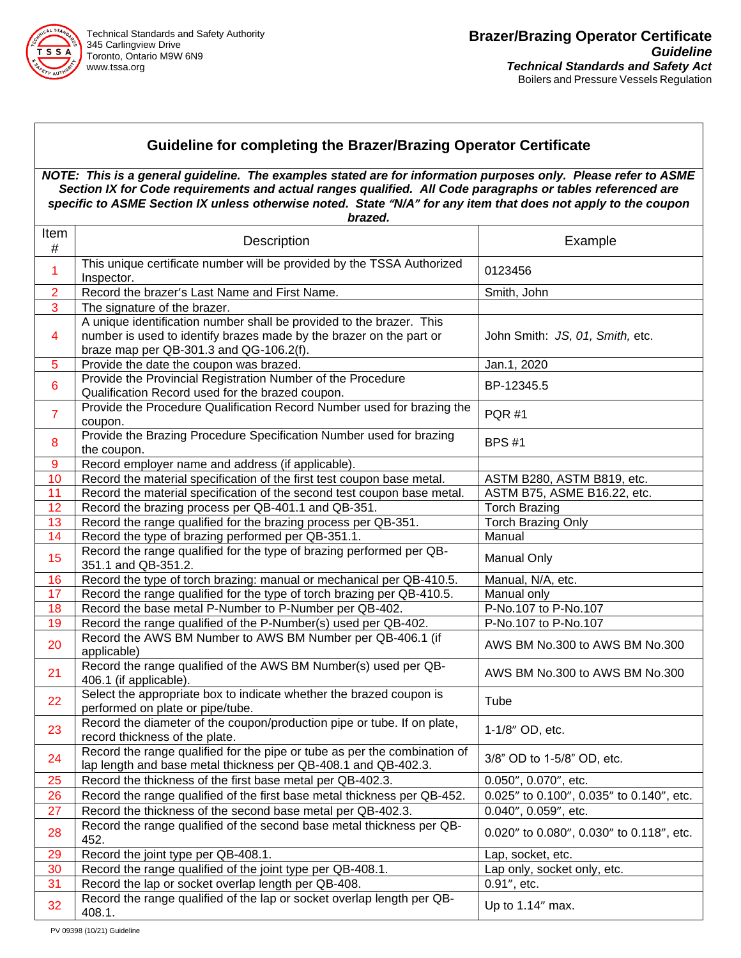

## **Guideline for completing the Brazer/Brazing Operator Certificate**

*NOTE: This is a general guideline. The examples stated are for information purposes only. Please refer to ASME Section IX for Code requirements and actual ranges qualified. All Code paragraphs or tables referenced are specific to ASME Section IX unless otherwise noted. State "N/A" for any item that does not apply to the coupon brazed.*

| Item<br>$\#$     | <b>Description</b>                                                                                                                                                                     | Example                                  |
|------------------|----------------------------------------------------------------------------------------------------------------------------------------------------------------------------------------|------------------------------------------|
| 1                | This unique certificate number will be provided by the TSSA Authorized<br>Inspector.                                                                                                   | 0123456                                  |
| $\overline{2}$   | Record the brazer's Last Name and First Name.                                                                                                                                          | Smith, John                              |
| 3                | The signature of the brazer.                                                                                                                                                           |                                          |
| 4                | A unique identification number shall be provided to the brazer. This<br>number is used to identify brazes made by the brazer on the part or<br>braze map per QB-301.3 and QG-106.2(f). | John Smith: JS, 01, Smith, etc.          |
| 5                | Provide the date the coupon was brazed.                                                                                                                                                | Jan.1, 2020                              |
| $6\phantom{1}$   | Provide the Provincial Registration Number of the Procedure<br>Qualification Record used for the brazed coupon.                                                                        | BP-12345.5                               |
| $\overline{7}$   | Provide the Procedure Qualification Record Number used for brazing the<br>coupon.                                                                                                      | <b>PQR #1</b>                            |
| 8                | Provide the Brazing Procedure Specification Number used for brazing<br>the coupon.                                                                                                     | <b>BPS#1</b>                             |
| $\boldsymbol{9}$ | Record employer name and address (if applicable).                                                                                                                                      |                                          |
| 10               | Record the material specification of the first test coupon base metal.                                                                                                                 | ASTM B280, ASTM B819, etc.               |
| 11               | Record the material specification of the second test coupon base metal.                                                                                                                | ASTM B75, ASME B16.22, etc.              |
| 12               | Record the brazing process per QB-401.1 and QB-351.                                                                                                                                    | <b>Torch Brazing</b>                     |
| 13               | Record the range qualified for the brazing process per QB-351.                                                                                                                         | <b>Torch Brazing Only</b>                |
| 14               | Record the type of brazing performed per QB-351.1.                                                                                                                                     | Manual                                   |
| 15               | Record the range qualified for the type of brazing performed per QB-<br>351.1 and QB-351.2.                                                                                            | <b>Manual Only</b>                       |
| 16               | Record the type of torch brazing: manual or mechanical per QB-410.5.                                                                                                                   | Manual, N/A, etc.                        |
| 17               | Record the range qualified for the type of torch brazing per QB-410.5.                                                                                                                 | Manual only                              |
| 18               | Record the base metal P-Number to P-Number per QB-402.                                                                                                                                 | P-No.107 to P-No.107                     |
| 19               | Record the range qualified of the P-Number(s) used per QB-402.                                                                                                                         | P-No.107 to P-No.107                     |
| 20               | Record the AWS BM Number to AWS BM Number per QB-406.1 (if<br>applicable)                                                                                                              | AWS BM No.300 to AWS BM No.300           |
| 21               | Record the range qualified of the AWS BM Number(s) used per QB-<br>406.1 (if applicable).                                                                                              | AWS BM No.300 to AWS BM No.300           |
| 22               | Select the appropriate box to indicate whether the brazed coupon is<br>performed on plate or pipe/tube.                                                                                | Tube                                     |
| 23               | Record the diameter of the coupon/production pipe or tube. If on plate,<br>record thickness of the plate.                                                                              | 1-1/8" OD, etc.                          |
| 24               | Record the range qualified for the pipe or tube as per the combination of<br>lap length and base metal thickness per QB-408.1 and QB-402.3.                                            | 3/8" OD to 1-5/8" OD, etc.               |
| 25               | Record the thickness of the first base metal per QB-402.3.                                                                                                                             | 0.050", 0.070", etc.                     |
| 26               | Record the range qualified of the first base metal thickness per QB-452.                                                                                                               | 0.025" to 0.100", 0.035" to 0.140", etc. |
| 27               | Record the thickness of the second base metal per QB-402.3.                                                                                                                            | 0.040", 0.059", etc.                     |
| 28               | Record the range qualified of the second base metal thickness per QB-<br>452.                                                                                                          | 0.020" to 0.080", 0.030" to 0.118", etc. |
| 29               | Record the joint type per QB-408.1.                                                                                                                                                    | Lap, socket, etc.                        |
| 30               | Record the range qualified of the joint type per QB-408.1.                                                                                                                             | Lap only, socket only, etc.              |
| 31               | Record the lap or socket overlap length per QB-408.                                                                                                                                    | 0.91", etc.                              |
| 32               | Record the range qualified of the lap or socket overlap length per QB-<br>408.1.                                                                                                       | Up to 1.14" max.                         |